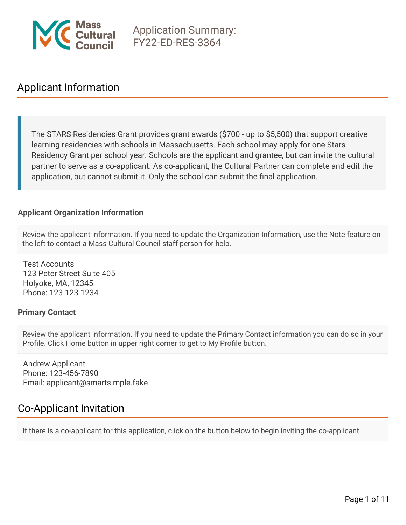

# Applicant Information

The STARS Residencies Grant provides grant awards (\$700 - up to \$5,500) that support creative learning residencies with schools in Massachusetts. Each school may apply for one Stars Residency Grant per school year. Schools are the applicant and grantee, but can invite the cultural partner to serve as a co-applicant. As co-applicant, the Cultural Partner can complete and edit the application, but cannot submit it. Only the school can submit the final application.

#### **Applicant Organization Information**

Review the applicant information. If you need to update the Organization Information, use the Note feature on the left to contact a Mass Cultural Council staff person for help.

Test Accounts 123 Peter Street Suite 405 Holyoke, MA, 12345 Phone: 123-123-1234

#### **Primary Contact**

Review the applicant information. If you need to update the Primary Contact information you can do so in your Profile. Click Home button in upper right corner to get to My Profile button.

Andrew Applicant Phone: 123-456-7890 Email: applicant@smartsimple.fake

# Co-Applicant Invitation

If there is a co-applicant for this application, click on the button below to begin inviting the co-applicant.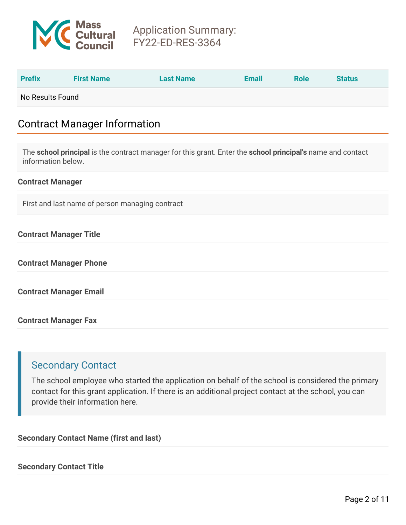

| <b>Prefix</b>    | <b>First Name</b> | <b>Last Name</b> | <b>Email</b> | <b>Role</b> | <b>Status</b> |
|------------------|-------------------|------------------|--------------|-------------|---------------|
| No Results Found |                   |                  |              |             |               |

# Contract Manager Information

The **school principal** is the contract manager for this grant. Enter the **school principal's** name and contact information below.

#### **Contract Manager**

First and last name of person managing contract

#### **Contract Manager Title**

**Contract Manager Phone**

**Contract Manager Email**

**Contract Manager Fax**

### Secondary Contact

The school employee who started the application on behalf of the school is considered the primary contact for this grant application. If there is an additional project contact at the school, you can provide their information here.

**Secondary Contact Name (first and last)**

**Secondary Contact Title**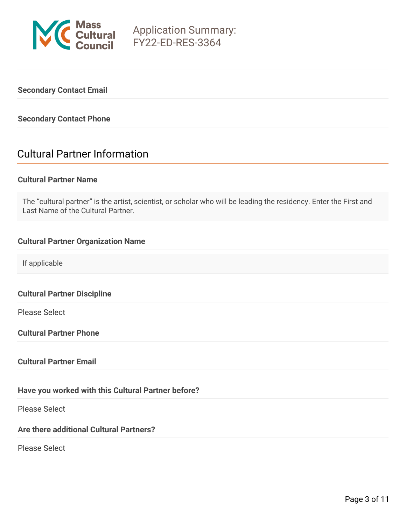

### **Secondary Contact Email**

#### **Secondary Contact Phone**

# Cultural Partner Information

#### **Cultural Partner Name**

The "cultural partner" is the artist, scientist, or scholar who will be leading the residency. Enter the First and Last Name of the Cultural Partner.

#### **Cultural Partner Organization Name**

If applicable

**Cultural Partner Discipline**

Please Select

**Cultural Partner Phone**

#### **Cultural Partner Email**

### **Have you worked with this Cultural Partner before?**

Please Select

### **Are there additional Cultural Partners?**

Please Select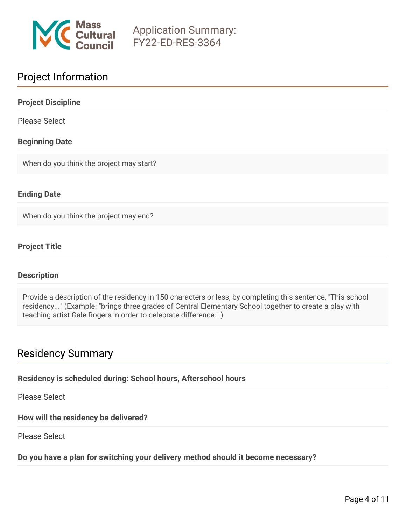

# Project Information

| <b>Project Discipline</b>                |  |
|------------------------------------------|--|
| <b>Please Select</b>                     |  |
| <b>Beginning Date</b>                    |  |
| When do you think the project may start? |  |
|                                          |  |

### **Ending Date**

When do you think the project may end?

### **Project Title**

#### **Description**

Provide a description of the residency in 150 characters or less, by completing this sentence, "This school residency..." (Example: "brings three grades of Central Elementary School together to create a play with teaching artist Gale Rogers in order to celebrate difference." )

# Residency Summary

#### **Residency is scheduled during: School hours, Afterschool hours**

Please Select

**How will the residency be delivered?**

Please Select

### **Do you have a plan for switching your delivery method should it become necessary?**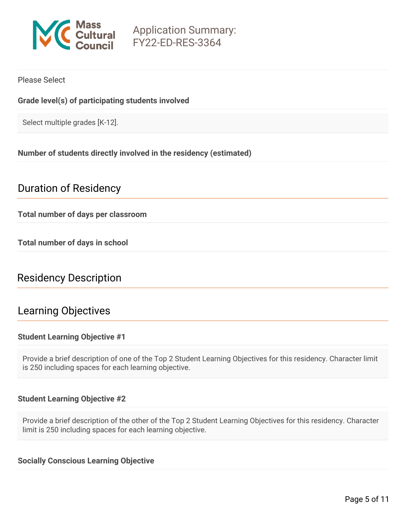

### Please Select

### **Grade level(s) of participating students involved**

Select multiple grades [K-12].

#### **Number of students directly involved in the residency (estimated)**

# Duration of Residency

**Total number of days per classroom**

**Total number of days in school**

# Residency Description

## Learning Objectives

#### **Student Learning Objective #1**

Provide a brief description of one of the Top 2 Student Learning Objectives for this residency. Character limit is 250 including spaces for each learning objective.

#### **Student Learning Objective #2**

Provide a brief description of the other of the Top 2 Student Learning Objectives for this residency. Character limit is 250 including spaces for each learning objective.

#### **Socially Conscious Learning Objective**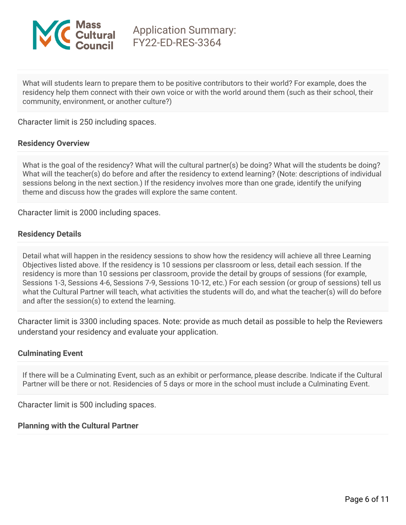

What will students learn to prepare them to be positive contributors to their world? For example, does the residency help them connect with their own voice or with the world around them (such as their school, their community, environment, or another culture?)

Character limit is 250 including spaces.

#### **Residency Overview**

What is the goal of the residency? What will the cultural partner(s) be doing? What will the students be doing? What will the teacher(s) do before and after the residency to extend learning? (Note: descriptions of individual sessions belong in the next section.) If the residency involves more than one grade, identify the unifying theme and discuss how the grades will explore the same content.

Character limit is 2000 including spaces.

#### **Residency Details**

Detail what will happen in the residency sessions to show how the residency will achieve all three Learning Objectives listed above. If the residency is 10 sessions per classroom or less, detail each session. If the residency is more than 10 sessions per classroom, provide the detail by groups of sessions (for example, Sessions 1-3, Sessions 4-6, Sessions 7-9, Sessions 10-12, etc.) For each session (or group of sessions) tell us what the Cultural Partner will teach, what activities the students will do, and what the teacher(s) will do before and after the session(s) to extend the learning.

Character limit is 3300 including spaces. Note: provide as much detail as possible to help the Reviewers understand your residency and evaluate your application.

#### **Culminating Event**

If there will be a Culminating Event, such as an exhibit or performance, please describe. Indicate if the Cultural Partner will be there or not. Residencies of 5 days or more in the school must include a Culminating Event.

Character limit is 500 including spaces.

#### **Planning with the Cultural Partner**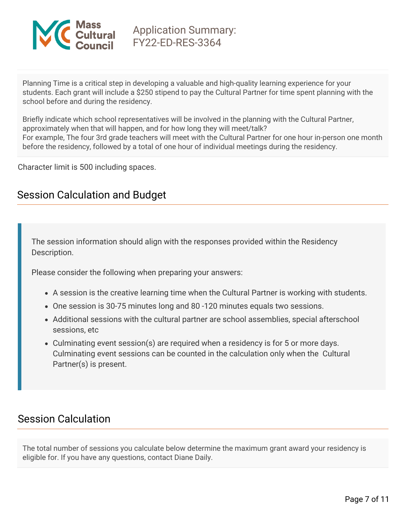

Planning Time is a critical step in developing a valuable and high-quality learning experience for your students. Each grant will include a \$250 stipend to pay the Cultural Partner for time spent planning with the school before and during the residency.

Briefly indicate which school representatives will be involved in the planning with the Cultural Partner, approximately when that will happen, and for how long they will meet/talk? For example, The four 3rd grade teachers will meet with the Cultural Partner for one hour in-person one month before the residency, followed by a total of one hour of individual meetings during the residency.

Character limit is 500 including spaces.

# Session Calculation and Budget

The session information should align with the responses provided within the Residency Description.

Please consider the following when preparing your answers:

- A session is the creative learning time when the Cultural Partner is working with students.
- One session is 30-75 minutes long and 80 -120 minutes equals two sessions.
- Additional sessions with the cultural partner are school assemblies, special afterschool sessions, etc
- Culminating event session(s) are required when a residency is for 5 or more days. Culminating event sessions can be counted in the calculation only when the Cultural Partner(s) is present.

# Session Calculation

The total number of sessions you calculate below determine the maximum grant award your residency is eligible for. If you have any questions, contact Diane Daily.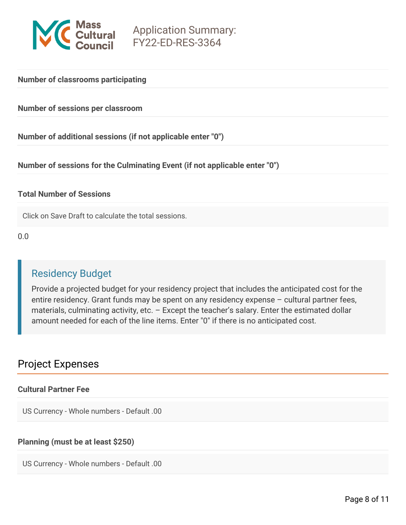

#### **Number of classrooms participating**

**Number of sessions per classroom**

**Number of additional sessions (if not applicable enter "0")**

**Number of sessions for the Culminating Event (if not applicable enter "0")**

#### **Total Number of Sessions**

Click on Save Draft to calculate the total sessions.

0.0

# Residency Budget

Provide a projected budget for your residency project that includes the anticipated cost for the entire residency. Grant funds may be spent on any residency expense – cultural partner fees, materials, culminating activity, etc. - Except the teacher's salary. Enter the estimated dollar amount needed for each of the line items. Enter "0" if there is no anticipated cost.

# Project Expenses

#### **Cultural Partner Fee**

US Currency - Whole numbers - Default .00

### **Planning (must be at least \$250)**

US Currency - Whole numbers - Default .00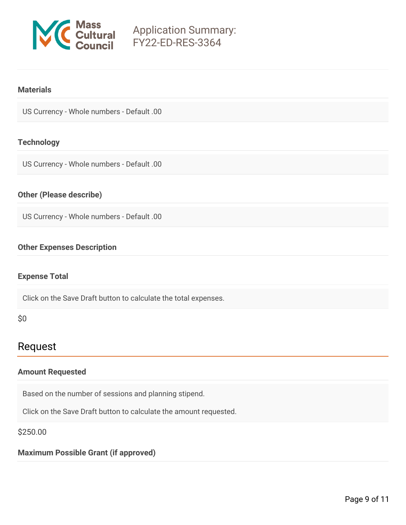

#### **Materials**

US Currency - Whole numbers - Default .00

#### **Technology**

US Currency - Whole numbers - Default .00

#### **Other (Please describe)**

US Currency - Whole numbers - Default .00

#### **Other Expenses Description**

#### **Expense Total**

Click on the Save Draft button to calculate the total expenses.

\$0

## Request

#### **Amount Requested**

Based on the number of sessions and planning stipend.

Click on the Save Draft button to calculate the amount requested.

\$250.00

### **Maximum Possible Grant (if approved)**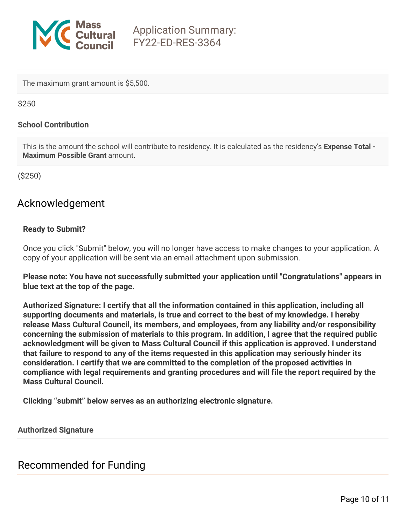

The maximum grant amount is \$5,500.

\$250

#### **School Contribution**

This is the amount the school will contribute to residency. It is calculated as the residency's **Expense Total - Maximum Possible Grant** amount.

(\$250)

# Acknowledgement

### **Ready to Submit?**

Once you click "Submit" below, you will no longer have access to make changes to your application. A copy of your application will be sent via an email attachment upon submission.

**Please note: You have not successfully submitted your application until "Congratulations" appears in blue text at the top of the page.**

**Authorized Signature: I certify that all the information contained in this application, including all supporting documents and materials, is true and correct to the best of my knowledge. I hereby release Mass Cultural Council, its members, and employees, from any liability and/or responsibility concerning the submission of materials to this program. In addition, I agree that the required public acknowledgment will be given to Mass Cultural Council if this application is approved. I understand that failure to respond to any of the items requested in this application may seriously hinder its consideration. I certify that we are committed to the completion of the proposed activities in compliance with legal requirements and granting procedures and will file the report required by the Mass Cultural Council.**

**Clicking "submit" below serves as an authorizing electronic signature.**

**Authorized Signature**

Recommended for Funding